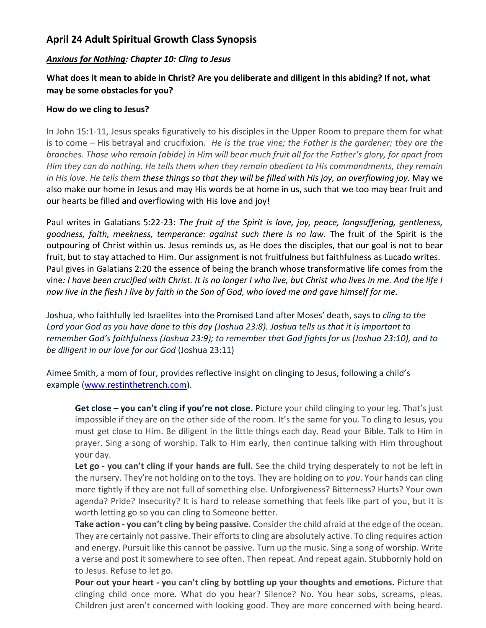## **April 24 Adult Spiritual Growth Class Synopsis**

## *Anxious for Nothing: Chapter 10: Cling to Jesus*

## **What does it mean to abide in Christ? Are you deliberate and diligent in this abiding? If not, what may be some obstacles for you?**

## **How do we cling to Jesus?**

In John 15:1-11, Jesus speaks figuratively to his disciples in the Upper Room to prepare them for what is to come – His betrayal and crucifixion. *He is the true vine; the Father is the gardener; they are the branches. Those who remain (abide) in Him will bear much fruit all for the Father's glory, for apart from Him they can do nothing. He tells them when they remain obedient to His commandments, they remain in His love. He tells them these things so that they will be filled with His joy, an overflowing joy.* May we also make our home in Jesus and may His words be at home in us, such that we too may bear fruit and our hearts be filled and overflowing with His love and joy!

Paul writes in Galatians 5:22-23: *The fruit of the Spirit is love, joy, peace, longsuffering, gentleness, goodness, faith, meekness, temperance: against such there is no law.* The fruit of the Spirit is the outpouring of Christ within us. Jesus reminds us, as He does the disciples, that our goal is not to bear fruit, but to stay attached to Him. Our assignment is not fruitfulness but faithfulness as Lucado writes. Paul gives in Galatians 2:20 the essence of being the branch whose transformative life comes from the vine*: I have been crucified with Christ. It is no longer I who live, but Christ who lives in me. And the life I now live in the flesh I live by faith in the Son of God, who loved me and gave himself for me.*

Joshua, who faithfully led Israelites into the Promised Land after Moses' death, says to *cling to the Lord your God as you have done to this day (Joshua 23:8). Joshua tells us that it is important to remember God's faithfulness (Joshua 23:9); to remember that God fights for us (Joshua 23:10), and to be diligent in our love for our God* (Joshua 23:11)

Aimee Smith, a mom of four, provides reflective insight on clinging to Jesus, following a child's example [\(www.restinthetrench.com\)](http://www.restinthetrench.com/).

**Get close – you can't cling if you're not close.** Picture your child clinging to your leg. That's just impossible if they are on the other side of the room. It's the same for you. To cling to Jesus, you must get close to Him. Be diligent in the little things each day. Read your Bible. Talk to Him in prayer. Sing a song of worship. Talk to Him early, then continue talking with Him throughout your day.

**Let go - you can't cling if your hands are full.** See the child trying desperately to not be left in the nursery. They're not holding on to the toys. They are holding on to *you*. Your hands can cling more tightly if they are not full of something else. Unforgiveness? Bitterness? Hurts? Your own agenda? Pride? Insecurity? It is hard to release something that feels like part of you, but it is worth letting go so you can cling to Someone better.

**Take action - you can't cling by being passive.** Consider the child afraid at the edge of the ocean. They are certainly not passive. Their efforts to cling are absolutely active. To cling requires action and energy. Pursuit like this cannot be passive. Turn up the music. Sing a song of worship. Write a verse and post it somewhere to see often. Then repeat. And repeat again. Stubbornly hold on to Jesus. Refuse to let go.

**Pour out your heart - you can't cling by bottling up your thoughts and emotions.** Picture that clinging child once more. What do you hear? Silence? No. You hear sobs, screams, pleas. Children just aren't concerned with looking good. They are more concerned with being heard.